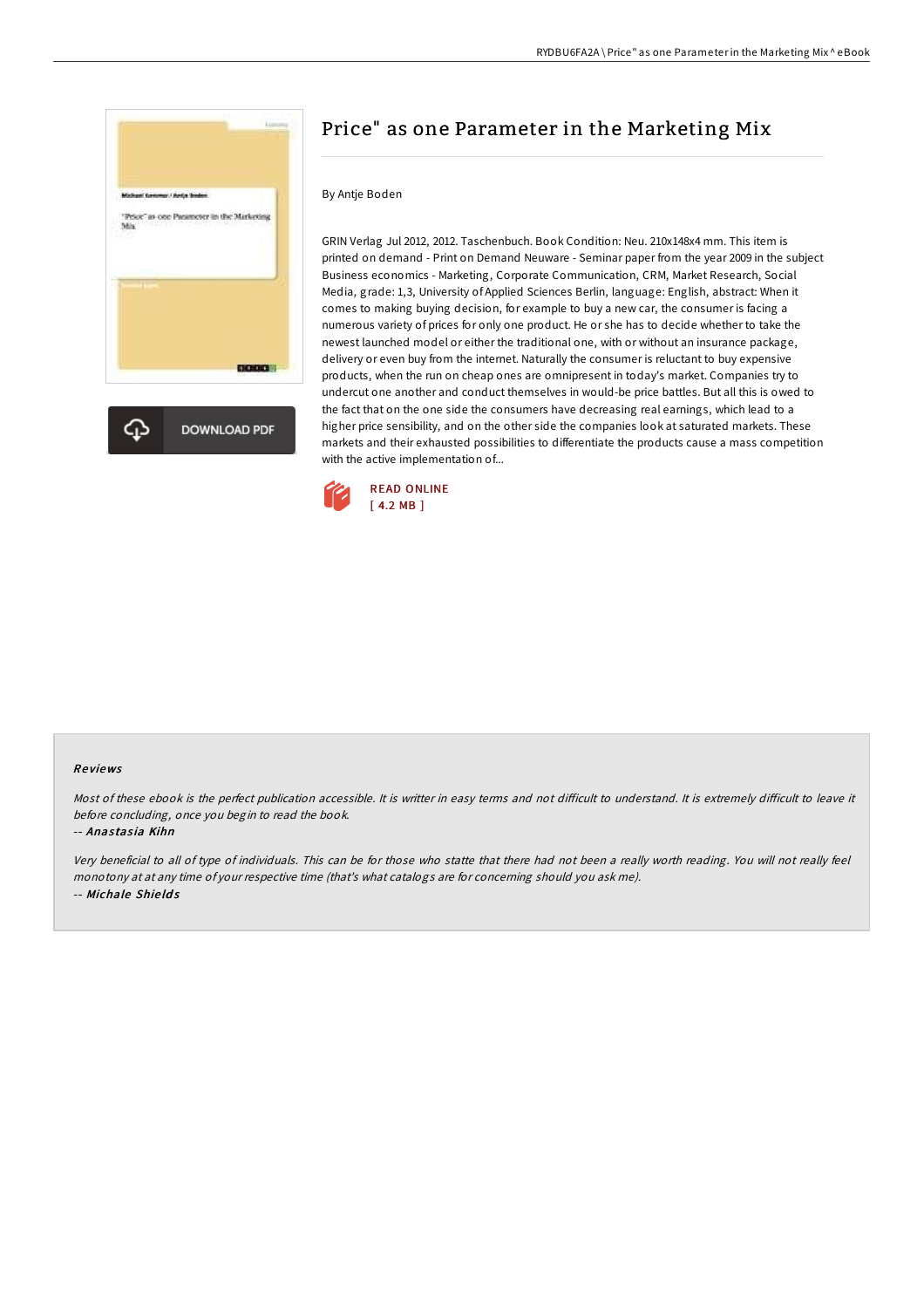

# Price" as one Parameter in the Marketing Mix

#### By Antje Boden

GRIN Verlag Jul 2012, 2012. Taschenbuch. Book Condition: Neu. 210x148x4 mm. This item is printed on demand - Print on Demand Neuware - Seminar paper from the year 2009 in the subject Business economics - Marketing, Corporate Communication, CRM, Market Research, Social Media, grade: 1,3, University of Applied Sciences Berlin, language: English, abstract: When it comes to making buying decision, for example to buy a new car, the consumer is facing a numerous variety of prices for only one product. He or she has to decide whether to take the newest launched model or either the traditional one, with or without an insurance package, delivery or even buy from the internet. Naturally the consumer is reluctant to buy expensive products, when the run on cheap ones are omnipresent in today's market. Companies try to undercut one another and conduct themselves in would-be price battles. But all this is owed to the fact that on the one side the consumers have decreasing real earnings, which lead to a higher price sensibility, and on the other side the companies look at saturated markets. These markets and their exhausted possibilities to differentiate the products cause a mass competition with the active implementation of...



#### Re views

Most of these ebook is the perfect publication accessible. It is writter in easy terms and not difficult to understand. It is extremely difficult to leave it before concluding, once you begin to read the book.

#### -- Anastasia Kihn

Very beneficial to all of type of individuals. This can be for those who statte that there had not been <sup>a</sup> really worth reading. You will not really feel monotony at at any time of your respective time (that's what catalogs are for concerning should you ask me). -- Michale Shie ld s